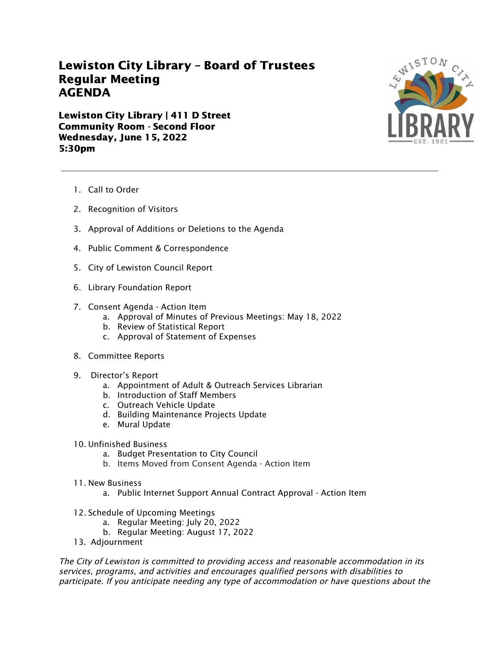## Lewiston City Library – Board of Trustees Regular Meeting AGENDA

Lewiston City Library | 411 D Street Community Room - Second Floor Wednesday, June 15, 2022 5:30pm



- 1. Call to Order
- 2. Recognition of Visitors
- 3. Approval of Additions or Deletions to the Agenda
- 4. Public Comment & Correspondence
- 5. City of Lewiston Council Report
- 6. Library Foundation Report
- 7. Consent Agenda Action Item
	- a. Approval of Minutes of Previous Meetings: May 18, 2022
	- b. Review of Statistical Report
	- c. Approval of Statement of Expenses
- 8. Committee Reports
- 9. Director's Report
	- a. Appointment of Adult & Outreach Services Librarian
	- b. Introduction of Staff Members
	- c. Outreach Vehicle Update
	- d. Building Maintenance Projects Update
	- e. Mural Update
- 10. Unfinished Business
	- a. Budget Presentation to City Council
	- b. Items Moved from Consent Agenda Action Item
- 11. New Business
	- a. Public Internet Support Annual Contract Approval Action Item
- 12. Schedule of Upcoming Meetings
	- a. Regular Meeting: July 20, 2022
	- b. Regular Meeting: August 17, 2022
- 13. Adjournment

The City of Lewiston is committed to providing access and reasonable accommodation in its services, programs, and activities and encourages qualified persons with disabilities to participate. If you anticipate needing any type of accommodation or have questions about the